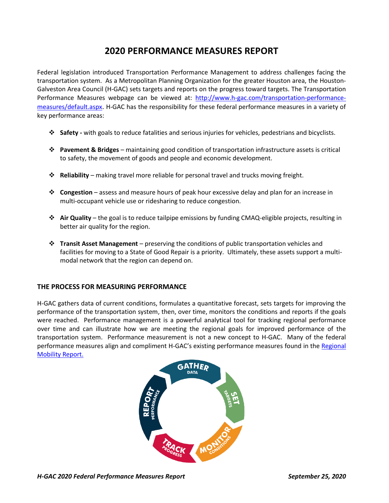# **2020 PERFORMANCE MEASURES REPORT**

Federal legislation introduced Transportation Performance Management to address challenges facing the transportation system. As a Metropolitan Planning Organization for the greater Houston area, the Houston-Galveston Area Council (H-GAC) sets targets and reports on the progress toward targets. The Transportation Performance Measures webpage can be viewed at: [http://www.h-gac.com/transportation-performance](http://www.h-gac.com/transportation-performance-measures/default.aspx)[measures/default.aspx](http://www.h-gac.com/transportation-performance-measures/default.aspx). H-GAC has the responsibility for these federal performance measures in a variety of key performance areas:

- ❖ **Safety -** with goals to reduce fatalities and serious injuries for vehicles, pedestrians and bicyclists.
- ❖ **Pavement & Bridges** maintaining good condition of transportation infrastructure assets is critical to safety, the movement of goods and people and economic development.
- ❖ **Reliability** making travel more reliable for personal travel and trucks moving freight.
- ❖ **Congestion** assess and measure hours of peak hour excessive delay and plan for an increase in multi-occupant vehicle use or ridesharing to reduce congestion.
- ❖ **Air Quality** the goal is to reduce tailpipe emissions by funding CMAQ-eligible projects, resulting in better air quality for the region.
- ❖ **Transit Asset Management** preserving the conditions of public transportation vehicles and facilities for moving to a State of Good Repair is a priority. Ultimately, these assets support a multimodal network that the region can depend on.

## **THE PROCESS FOR MEASURING PERFORMANCE**

H-GAC gathers data of current conditions, formulates a quantitative forecast, sets targets for improving the performance of the transportation system, then, over time, monitors the conditions and reports if the goals were reached. Performance management is a powerful analytical tool for tracking regional performance over time and can illustrate how we are meeting the regional goals for improved performance of the transportation system. Performance measurement is not a new concept to H-GAC. Many of the federal performance measures align and compliment H-GAC's existing performance measures found in the Regional [Mobility Report.](https://datalab.h-gac.com/2018mobilityreport/)

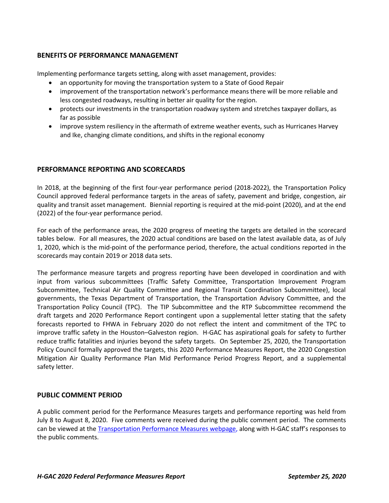## **BENEFITS OF PERFORMANCE MANAGEMENT**

Implementing performance targets setting, along with asset management, provides:

- an opportunity for moving the transportation system to a State of Good Repair
- improvement of the transportation network's performance means there will be more reliable and less congested roadways, resulting in better air quality for the region.
- protects our investments in the transportation roadway system and stretches taxpayer dollars, as far as possible
- improve system resiliency in the aftermath of extreme weather events, such as Hurricanes Harvey and Ike, changing climate conditions, and shifts in the regional economy

## **PERFORMANCE REPORTING AND SCORECARDS**

In 2018, at the beginning of the first four-year performance period (2018-2022), the Transportation Policy Council approved federal performance targets in the areas of safety, pavement and bridge, congestion, air quality and transit asset management. Biennial reporting is required at the mid-point (2020), and at the end (2022) of the four-year performance period.

For each of the performance areas, the 2020 progress of meeting the targets are detailed in the scorecard tables below. For all measures, the 2020 actual conditions are based on the latest available data, as of July 1, 2020, which is the mid-point of the performance period, therefore, the actual conditions reported in the scorecards may contain 2019 or 2018 data sets.

The performance measure targets and progress reporting have been developed in coordination and with input from various subcommittees (Traffic Safety Committee, Transportation Improvement Program Subcommittee, Technical Air Quality Committee and Regional Transit Coordination Subcommittee), local governments, the Texas Department of Transportation, the Transportation Advisory Committee, and the Transportation Policy Council (TPC). The TIP Subcommittee and the RTP Subcommittee recommend the draft targets and 2020 Performance Report contingent upon a supplemental letter stating that the safety forecasts reported to FHWA in February 2020 do not reflect the intent and commitment of the TPC to improve traffic safety in the Houston–Galveston region. H-GAC has aspirational goals for safety to further reduce traffic fatalities and injuries beyond the safety targets. On September 25, 2020, the Transportation Policy Council formally approved the targets, this 2020 Performance Measures Report, the 2020 Congestion Mitigation Air Quality Performance Plan Mid Performance Period Progress Report, and a supplemental safety letter.

## **PUBLIC COMMENT PERIOD**

A public comment period for the Performance Measures targets and performance reporting was held from July 8 to August 8, 2020. Five comments were received during the public comment period. The comments can be viewed at the [Transportation Performance Measures webpage,](http://www.h-gac.com/transportation-performance-measures/submitted-public-comments.aspx) along with H-GAC staff's responses to the public comments.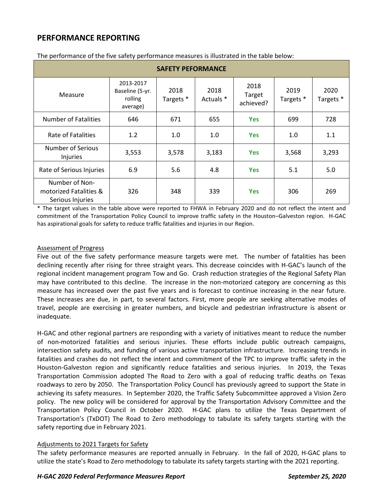| <b>SAFETY PEFORMANCE</b>                                     |                                                     |                              |                   |                             |                   |                              |  |
|--------------------------------------------------------------|-----------------------------------------------------|------------------------------|-------------------|-----------------------------|-------------------|------------------------------|--|
| Measure                                                      | 2013-2017<br>Baseline (5-yr.<br>rolling<br>average) | 2018<br>Targets <sup>*</sup> | 2018<br>Actuals * | 2018<br>Target<br>achieved? | 2019<br>Targets * | 2020<br>Targets <sup>*</sup> |  |
| <b>Number of Fatalities</b>                                  | 646                                                 | 671                          | 655               | <b>Yes</b>                  | 699               | 728                          |  |
| Rate of Fatalities                                           | 1.2                                                 | 1.0                          | 1.0               | <b>Yes</b>                  | 1.0               | 1.1                          |  |
| <b>Number of Serious</b><br><b>Injuries</b>                  | 3,553                                               | 3,578                        | 3,183             | <b>Yes</b>                  | 3,568             | 3,293                        |  |
| Rate of Serious Injuries                                     | 6.9                                                 | 5.6                          | 4.8               | <b>Yes</b>                  | 5.1               | 5.0                          |  |
| Number of Non-<br>motorized Fatalities &<br>Serious Injuries | 326                                                 | 348                          | 339               | <b>Yes</b>                  | 306               | 269                          |  |

The performance of the five safety performance measures is illustrated in the table below:

\* The target values in the table above were reported to FHWA in February 2020 and do not reflect the intent and commitment of the Transportation Policy Council to improve traffic safety in the Houston–Galveston region. H-GAC has aspirational goals for safety to reduce traffic fatalities and injuries in our Region.

#### Assessment of Progress

Five out of the five safety performance measure targets were met. The number of fatalities has been declining recently after rising for three straight years. This decrease coincides with H-GAC's launch of the regional incident management program Tow and Go. Crash reduction strategies of the Regional Safety Plan may have contributed to this decline. The increase in the non-motorized category are concerning as this measure has increased over the past five years and is forecast to continue increasing in the near future. These increases are due, in part, to several factors. First, more people are seeking alternative modes of travel, people are exercising in greater numbers, and bicycle and pedestrian infrastructure is absent or inadequate.

H-GAC and other regional partners are responding with a variety of initiatives meant to reduce the number of non-motorized fatalities and serious injuries. These efforts include public outreach campaigns, intersection safety audits, and funding of various active transportation infrastructure. Increasing trends in fatalities and crashes do not reflect the intent and commitment of the TPC to improve traffic safety in the Houston-Galveston region and significantly reduce fatalities and serious injuries. In 2019, the Texas Transportation Commission adopted The Road to Zero with a goal of reducing traffic deaths on Texas roadways to zero by 2050. The Transportation Policy Council has previously agreed to support the State in achieving its safety measures. In September 2020, the Traffic Safety Subcommittee approved a Vision Zero policy. The new policy will be considered for approval by the Transportation Advisory Committee and the Transportation Policy Council in October 2020. H-GAC plans to utilize the Texas Department of Transportation's (TxDOT) The Road to Zero methodology to tabulate its safety targets starting with the safety reporting due in February 2021.

## Adjustments to 2021 Targets for Safety

The safety performance measures are reported annually in February. In the fall of 2020, H-GAC plans to utilize the state's Road to Zero methodology to tabulate its safety targets starting with the 2021 reporting.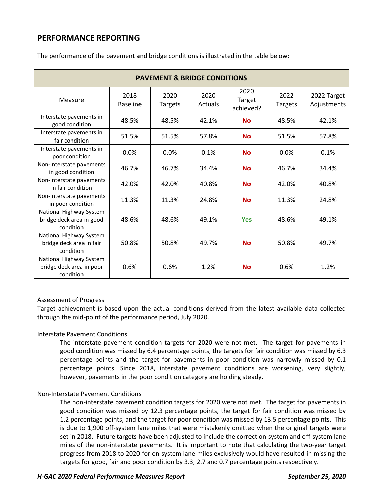| <b>PAVEMENT &amp; BRIDGE CONDITIONS</b>                          |                         |                        |                 |                             |                        |                            |
|------------------------------------------------------------------|-------------------------|------------------------|-----------------|-----------------------------|------------------------|----------------------------|
| Measure                                                          | 2018<br><b>Baseline</b> | 2020<br><b>Targets</b> | 2020<br>Actuals | 2020<br>Target<br>achieved? | 2022<br><b>Targets</b> | 2022 Target<br>Adjustments |
| Interstate pavements in<br>good condition                        | 48.5%                   | 48.5%                  | 42.1%           | <b>No</b>                   | 48.5%                  | 42.1%                      |
| Interstate pavements in<br>fair condition                        | 51.5%                   | 51.5%                  | 57.8%           | <b>No</b>                   | 51.5%                  | 57.8%                      |
| Interstate pavements in<br>poor condition                        | 0.0%                    | 0.0%                   | 0.1%            | <b>No</b>                   | 0.0%                   | 0.1%                       |
| Non-Interstate pavements<br>in good condition                    | 46.7%                   | 46.7%                  | 34.4%           | <b>No</b>                   | 46.7%                  | 34.4%                      |
| Non-Interstate pavements<br>in fair condition                    | 42.0%                   | 42.0%                  | 40.8%           | <b>No</b>                   | 42.0%                  | 40.8%                      |
| Non-Interstate pavements<br>in poor condition                    | 11.3%                   | 11.3%                  | 24.8%           | <b>No</b>                   | 11.3%                  | 24.8%                      |
| National Highway System<br>bridge deck area in good<br>condition | 48.6%                   | 48.6%                  | 49.1%           | <b>Yes</b>                  | 48.6%                  | 49.1%                      |
| National Highway System<br>bridge deck area in fair<br>condition | 50.8%                   | 50.8%                  | 49.7%           | <b>No</b>                   | 50.8%                  | 49.7%                      |
| National Highway System<br>bridge deck area in poor<br>condition | 0.6%                    | 0.6%                   | 1.2%            | <b>No</b>                   | 0.6%                   | 1.2%                       |

The performance of the pavement and bridge conditions is illustrated in the table below:

## Assessment of Progress

Target achievement is based upon the actual conditions derived from the latest available data collected through the mid-point of the performance period, July 2020.

## Interstate Pavement Conditions

The interstate pavement condition targets for 2020 were not met. The target for pavements in good condition was missed by 6.4 percentage points, the targets for fair condition was missed by 6.3 percentage points and the target for pavements in poor condition was narrowly missed by 0.1 percentage points. Since 2018, interstate pavement conditions are worsening, very slightly, however, pavements in the poor condition category are holding steady.

## Non-Interstate Pavement Conditions

The non-interstate pavement condition targets for 2020 were not met. The target for pavements in good condition was missed by 12.3 percentage points, the target for fair condition was missed by 1.2 percentage points, and the target for poor condition was missed by 13.5 percentage points. This is due to 1,900 off-system lane miles that were mistakenly omitted when the original targets were set in 2018. Future targets have been adjusted to include the correct on-system and off-system lane miles of the non-interstate pavements. It is important to note that calculating the two-year target progress from 2018 to 2020 for on-system lane miles exclusively would have resulted in missing the targets for good, fair and poor condition by 3.3, 2.7 and 0.7 percentage points respectively.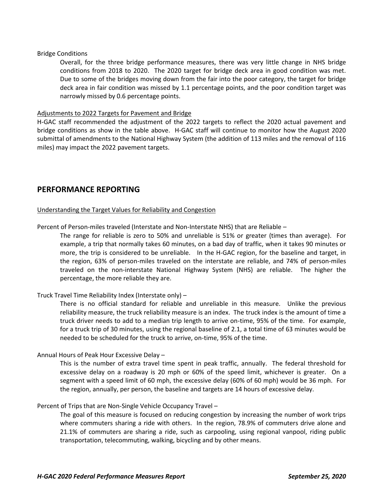#### Bridge Conditions

Overall, for the three bridge performance measures, there was very little change in NHS bridge conditions from 2018 to 2020. The 2020 target for bridge deck area in good condition was met. Due to some of the bridges moving down from the fair into the poor category, the target for bridge deck area in fair condition was missed by 1.1 percentage points, and the poor condition target was narrowly missed by 0.6 percentage points.

#### Adjustments to 2022 Targets for Pavement and Bridge

H-GAC staff recommended the adjustment of the 2022 targets to reflect the 2020 actual pavement and bridge conditions as show in the table above. H-GAC staff will continue to monitor how the August 2020 submittal of amendments to the National Highway System (the addition of 113 miles and the removal of 116 miles) may impact the 2022 pavement targets.

## **PERFORMANCE REPORTING**

#### Understanding the Target Values for Reliability and Congestion

Percent of Person-miles traveled (Interstate and Non-Interstate NHS) that are Reliable –

The range for reliable is zero to 50% and unreliable is 51% or greater (times than average). For example, a trip that normally takes 60 minutes, on a bad day of traffic, when it takes 90 minutes or more, the trip is considered to be unreliable. In the H-GAC region, for the baseline and target, in the region, 63% of person-miles traveled on the interstate are reliable, and 74% of person-miles traveled on the non-interstate National Highway System (NHS) are reliable. The higher the percentage, the more reliable they are.

## Truck Travel Time Reliability Index (Interstate only) –

There is no official standard for reliable and unreliable in this measure. Unlike the previous reliability measure, the truck reliability measure is an index. The truck index is the amount of time a truck driver needs to add to a median trip length to arrive on-time, 95% of the time. For example, for a truck trip of 30 minutes, using the regional baseline of 2.1, a total time of 63 minutes would be needed to be scheduled for the truck to arrive, on-time, 95% of the time.

## Annual Hours of Peak Hour Excessive Delay –

This is the number of extra travel time spent in peak traffic, annually. The federal threshold for excessive delay on a roadway is 20 mph or 60% of the speed limit, whichever is greater. On a segment with a speed limit of 60 mph, the excessive delay (60% of 60 mph) would be 36 mph. For the region, annually, per person, the baseline and targets are 14 hours of excessive delay.

#### Percent of Trips that are Non-Single Vehicle Occupancy Travel –

The goal of this measure is focused on reducing congestion by increasing the number of work trips where commuters sharing a ride with others. In the region, 78.9% of commuters drive alone and 21.1% of commuters are sharing a ride, such as carpooling, using regional vanpool, riding public transportation, telecommuting, walking, bicycling and by other means.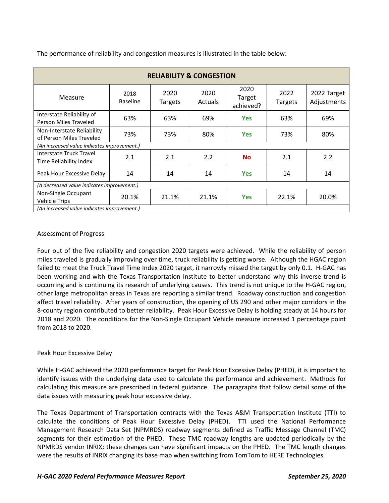| <b>RELIABILITY &amp; CONGESTION</b>                    |                         |                        |                        |                             |                        |                            |  |
|--------------------------------------------------------|-------------------------|------------------------|------------------------|-----------------------------|------------------------|----------------------------|--|
| Measure                                                | 2018<br><b>Baseline</b> | 2020<br><b>Targets</b> | 2020<br><b>Actuals</b> | 2020<br>Target<br>achieved? | 2022<br><b>Targets</b> | 2022 Target<br>Adjustments |  |
| Interstate Reliability of<br>Person Miles Traveled     | 63%                     | 63%                    | 69%                    | <b>Yes</b>                  | 63%                    | 69%                        |  |
| Non-Interstate Reliability<br>of Person Miles Traveled | 73%                     | 73%                    | 80%                    | <b>Yes</b>                  | 73%                    | 80%                        |  |
| (An increased value indicates improvement.)            |                         |                        |                        |                             |                        |                            |  |
| Interstate Truck Travel<br>Time Reliability Index      | 2.1                     | 2.1                    | 2.2                    | <b>No</b>                   | 2.1                    | 2.2                        |  |
| Peak Hour Excessive Delay                              | 14                      | 14                     | 14                     | <b>Yes</b>                  | 14                     | 14                         |  |
| (A decreased value indicates improvement.)             |                         |                        |                        |                             |                        |                            |  |
| Non-Single Occupant<br><b>Vehicle Trips</b>            | 20.1%                   | 21.1%                  | 21.1%                  | <b>Yes</b>                  | 22.1%                  | 20.0%                      |  |
| (An increased value indicates improvement.)            |                         |                        |                        |                             |                        |                            |  |

The performance of reliability and congestion measures is illustrated in the table below:

## Assessment of Progress

Four out of the five reliability and congestion 2020 targets were achieved. While the reliability of person miles traveled is gradually improving over time, truck reliability is getting worse. Although the HGAC region failed to meet the Truck Travel Time Index 2020 target, it narrowly missed the target by only 0.1. H-GAC has been working and with the Texas Transportation Institute to better understand why this inverse trend is occurring and is continuing its research of underlying causes. This trend is not unique to the H-GAC region, other large metropolitan areas in Texas are reporting a similar trend. Roadway construction and congestion affect travel reliability. After years of construction, the opening of US 290 and other major corridors in the 8-county region contributed to better reliability. Peak Hour Excessive Delay is holding steady at 14 hours for 2018 and 2020. The conditions for the Non-Single Occupant Vehicle measure increased 1 percentage point from 2018 to 2020.

## Peak Hour Excessive Delay

While H-GAC achieved the 2020 performance target for Peak Hour Excessive Delay (PHED), it is important to identify issues with the underlying data used to calculate the performance and achievement. Methods for calculating this measure are prescribed in federal guidance. The paragraphs that follow detail some of the data issues with measuring peak hour excessive delay.

The Texas Department of Transportation contracts with the Texas A&M Transportation Institute (TTI) to calculate the conditions of Peak Hour Excessive Delay (PHED). TTI used the National Performance Management Research Data Set (NPMRDS) roadway segments defined as Traffic Message Channel (TMC) segments for their estimation of the PHED. These TMC roadway lengths are updated periodically by the NPMRDS vendor INRIX; these changes can have significant impacts on the PHED. The TMC length changes were the results of INRIX changing its base map when switching from TomTom to HERE Technologies.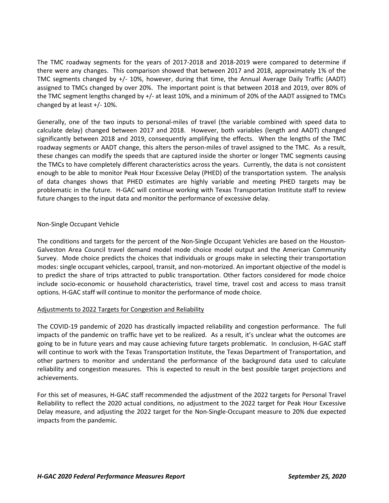The TMC roadway segments for the years of 2017-2018 and 2018-2019 were compared to determine if there were any changes. This comparison showed that between 2017 and 2018, approximately 1% of the TMC segments changed by +/- 10%, however, during that time, the Annual Average Daily Traffic (AADT) assigned to TMCs changed by over 20%. The important point is that between 2018 and 2019, over 80% of the TMC segment lengths changed by +/- at least 10%, and a minimum of 20% of the AADT assigned to TMCs changed by at least +/- 10%.

Generally, one of the two inputs to personal-miles of travel (the variable combined with speed data to calculate delay) changed between 2017 and 2018. However, both variables (length and AADT) changed significantly between 2018 and 2019, consequently amplifying the effects. When the lengths of the TMC roadway segments or AADT change, this alters the person-miles of travel assigned to the TMC. As a result, these changes can modify the speeds that are captured inside the shorter or longer TMC segments causing the TMCs to have completely different characteristics across the years. Currently, the data is not consistent enough to be able to monitor Peak Hour Excessive Delay (PHED) of the transportation system. The analysis of data changes shows that PHED estimates are highly variable and meeting PHED targets may be problematic in the future. H-GAC will continue working with Texas Transportation Institute staff to review future changes to the input data and monitor the performance of excessive delay.

#### Non-Single Occupant Vehicle

The conditions and targets for the percent of the Non-Single Occupant Vehicles are based on the Houston-Galveston Area Council travel demand model mode choice model output and the American Community Survey. Mode choice predicts the choices that individuals or groups make in selecting their transportation modes: single occupant vehicles, carpool, transit, and non-motorized. An important objective of the model is to predict the share of trips attracted to public transportation. Other factors considered for mode choice include socio-economic or household characteristics, travel time, travel cost and access to mass transit options. H-GAC staff will continue to monitor the performance of mode choice.

#### Adjustments to 2022 Targets for Congestion and Reliability

The COVID-19 pandemic of 2020 has drastically impacted reliability and congestion performance. The full impacts of the pandemic on traffic have yet to be realized. As a result, it's unclear what the outcomes are going to be in future years and may cause achieving future targets problematic. In conclusion, H-GAC staff will continue to work with the Texas Transportation Institute, the Texas Department of Transportation, and other partners to monitor and understand the performance of the background data used to calculate reliability and congestion measures. This is expected to result in the best possible target projections and achievements.

For this set of measures, H-GAC staff recommended the adjustment of the 2022 targets for Personal Travel Reliability to reflect the 2020 actual conditions, no adjustment to the 2022 target for Peak Hour Excessive Delay measure, and adjusting the 2022 target for the Non-Single-Occupant measure to 20% due expected impacts from the pandemic.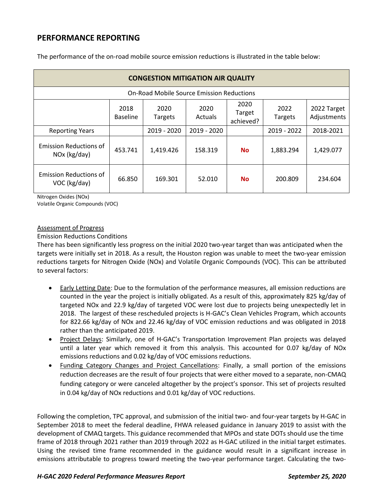| <b>CONGESTION MITIGATION AIR QUALITY</b>         |                         |                 |                 |                             |                 |                            |  |
|--------------------------------------------------|-------------------------|-----------------|-----------------|-----------------------------|-----------------|----------------------------|--|
| <b>On-Road Mobile Source Emission Reductions</b> |                         |                 |                 |                             |                 |                            |  |
|                                                  | 2018<br><b>Baseline</b> | 2020<br>Targets | 2020<br>Actuals | 2020<br>Target<br>achieved? | 2022<br>Targets | 2022 Target<br>Adjustments |  |
| <b>Reporting Years</b>                           |                         | 2019 - 2020     | 2019 - 2020     |                             | 2019 - 2022     | 2018-2021                  |  |
| <b>Emission Reductions of</b><br>NOx (kg/day)    | 453.741                 | 1,419.426       | 158.319         | <b>No</b>                   | 1,883.294       | 1,429.077                  |  |
| <b>Emission Reductions of</b><br>VOC (kg/day)    | 66.850                  | 169.301         | 52.010          | <b>No</b>                   | 200.809         | 234.604                    |  |

The performance of the on-road mobile source emission reductions is illustrated in the table below:

Nitrogen Oxides (NOx)

Volatile Organic Compounds (VOC)

#### Assessment of Progress

#### Emission Reductions Conditions

There has been significantly less progress on the initial 2020 two-year target than was anticipated when the targets were initially set in 2018. As a result, the Houston region was unable to meet the two-year emission reductions targets for Nitrogen Oxide (NOx) and Volatile Organic Compounds (VOC). This can be attributed to several factors:

- Early Letting Date: Due to the formulation of the performance measures, all emission reductions are counted in the year the project is initially obligated. As a result of this, approximately 825 kg/day of targeted NOx and 22.9 kg/day of targeted VOC were lost due to projects being unexpectedly let in 2018. The largest of these rescheduled projects is H-GAC's Clean Vehicles Program, which accounts for 822.66 kg/day of NOx and 22.46 kg/day of VOC emission reductions and was obligated in 2018 rather than the anticipated 2019.
- Project Delays: Similarly, one of H-GAC's Transportation Improvement Plan projects was delayed until a later year which removed it from this analysis. This accounted for 0.07 kg/day of NOx emissions reductions and 0.02 kg/day of VOC emissions reductions.
- Funding Category Changes and Project Cancellations: Finally, a small portion of the emissions reduction decreases are the result of four projects that were either moved to a separate, non-CMAQ funding category or were canceled altogether by the project's sponsor. This set of projects resulted in 0.04 kg/day of NOx reductions and 0.01 kg/day of VOC reductions.

Following the completion, TPC approval, and submission of the initial two- and four-year targets by H-GAC in September 2018 to meet the federal deadline, FHWA released guidance in January 2019 to assist with the development of CMAQ targets. This guidance recommended that MPOs and state DOTs should use the time frame of 2018 through 2021 rather than 2019 through 2022 as H-GAC utilized in the initial target estimates. Using the revised time frame recommended in the guidance would result in a significant increase in emissions attributable to progress toward meeting the two-year performance target. Calculating the two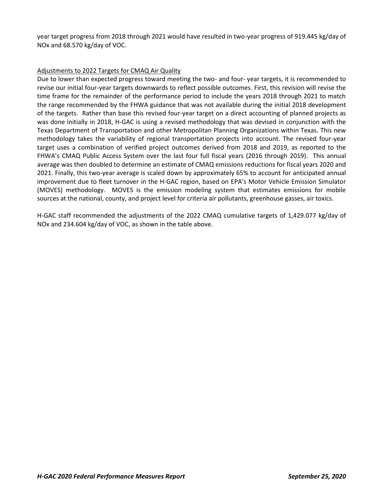year target progress from 2018 through 2021 would have resulted in two-year progress of 919.445 kg/day of NOx and 68.570 kg/day of VOC.

## Adjustments to 2022 Targets for CMAQ Air Quality

Due to lower than expected progress toward meeting the two- and four- year targets, it is recommended to revise our initial four-year targets downwards to reflect possible outcomes. First, this revision will revise the time frame for the remainder of the performance period to include the years 2018 through 2021 to match the range recommended by the FHWA guidance that was not available during the initial 2018 development of the targets. Rather than base this revised four-year target on a direct accounting of planned projects as was done initially in 2018, H-GAC is using a revised methodology that was devised in conjunction with the Texas Department of Transportation and other Metropolitan Planning Organizations within Texas. This new methodology takes the variability of regional transportation projects into account. The revised four-year target uses a combination of verified project outcomes derived from 2018 and 2019, as reported to the FHWA's CMAQ Public Access System over the last four full fiscal years (2016 through 2019). This annual average was then doubled to determine an estimate of CMAQ emissions reductions for fiscal years 2020 and 2021. Finally, this two-year average is scaled down by approximately 65% to account for anticipated annual improvement due to fleet turnover in the H-GAC region, based on EPA's Motor Vehicle Emission Simulator (MOVES) methodology. MOVES is the emission modeling system that estimates emissions for mobile sources at the national, county, and project level for criteria air pollutants, greenhouse gasses, air toxics.

H-GAC staff recommended the adjustments of the 2022 CMAQ cumulative targets of 1,429.077 kg/day of NOx and 234.604 kg/day of VOC, as shown in the table above.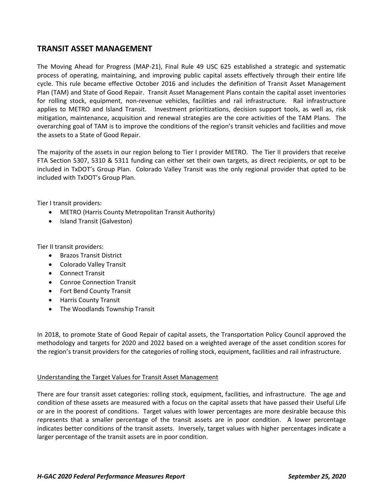## **TRANSIT ASSET MANAGEMENT**

The Moving Ahead for Progress (MAP-21), Final Rule 49 USC 625 established a strategic and systematic process of operating, maintaining, and improving public capital assets effectively through their entire life cycle. This rule became effective October 2016 and includes the definition of Transit Asset Management Plan (TAM) and State of Good Repair. Transit Asset Management Plans contain the capital asset inventories for rolling stock, equipment, non-revenue vehicles, facilities and rail infrastructure. Rail infrastructure applies to METRO and Island Transit. Investment prioritizations, decision support tools, as well as, risk mitigation, maintenance, acquisition and renewal strategies are the core activities of the TAM Plans. The overarching goal of TAM is to improve the conditions of the region's transit vehicles and facilities and move the assets to a State of Good Repair.

The majority of the assets in our region belong to Tier I provider METRO. The Tier II providers that receive FTA Section 5307, 5310 & 5311 funding can either set their own targets, as direct recipients, or opt to be included in TxDOT's Group Plan. Colorado Valley Transit was the only regional provider that opted to be included with TxDOT's Group Plan.

Tier I transit providers:

- METRO (Harris County Metropolitan Transit Authority)
- Island Transit (Galveston)

Tier II transit providers:

- Brazos Transit District
- Colorado Valley Transit
- Connect Transit
- Conroe Connection Transit
- Fort Bend County Transit
- Harris County Transit
- The Woodlands Township Transit

In 2018, to promote State of Good Repair of capital assets, the Transportation Policy Council approved the methodology and targets for 2020 and 2022 based on a weighted average of the asset condition scores for the region's transit providers for the categories of rolling stock, equipment, facilities and rail infrastructure.

#### Understanding the Target Values for Transit Asset Management

There are four transit asset categories: rolling stock, equipment, facilities, and infrastructure. The age and condition of these assets are measured with a focus on the capital assets that have passed their Useful Life or are in the poorest of conditions. Target values with lower percentages are more desirable because this represents that a smaller percentage of the transit assets are in poor condition. A lower percentage indicates better conditions of the transit assets. Inversely, target values with higher percentages indicate a larger percentage of the transit assets are in poor condition.